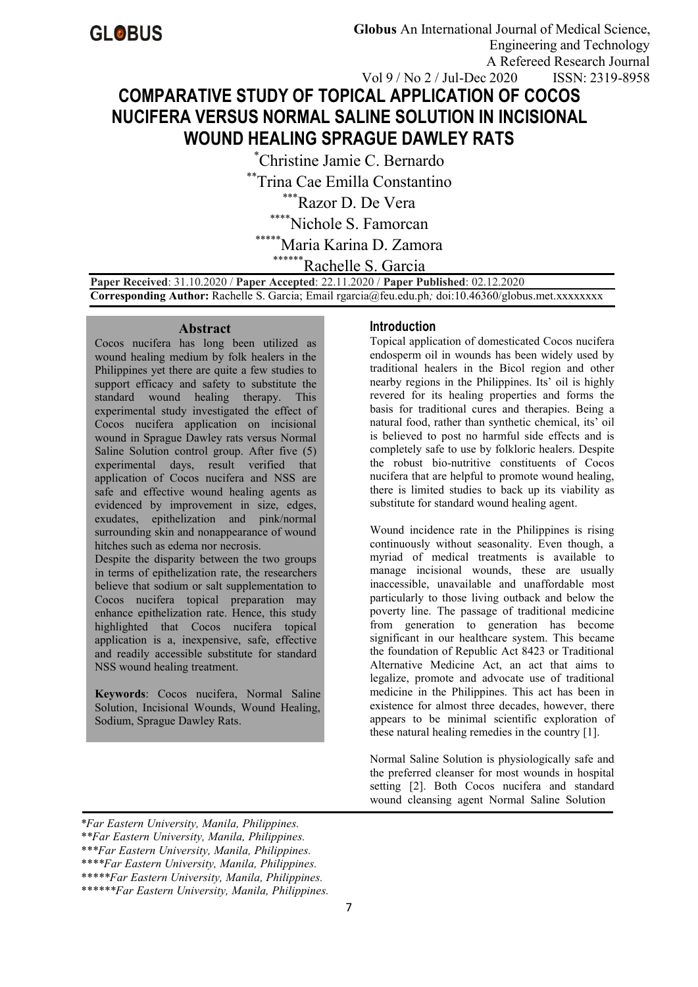# **COMPARATIVE STUDY OF TOPICAL APPLICATION OF COCOS NUCIFERA VERSUS NORMAL SALINE SOLUTION IN INCISIONAL WOUND HEALING SPRAGUE DAWLEY RATS** Vol 9 / No 2 / Jul-Dec 2020 ISSN: 2319-8958

\*Christine Jamie C. Bernardo

\*\*Trina Cae Emilla Constantino

\*\*\*Razor D. De Vera

Nichole S. Famorcan

Maria Karina D. Zamora

Rachelle S. Garcia

**Paper Received**: 31.10.2020 / **Paper Accepted**: 22.11.2020 / **Paper Published**: 02.12.2020 **Corresponding Author:** Rachelle S. Garcia; Email rgarcia@feu.edu.ph*;* doi:10.46360/globus.met.xxxxxxxx

#### **Abstract**

Cocos nucifera has long been utilized as wound healing medium by folk healers in the Philippines yet there are quite a few studies to support efficacy and safety to substitute the standard wound healing therapy. This experimental study investigated the effect of Cocos nucifera application on incisional wound in Sprague Dawley rats versus Normal Saline Solution control group. After five (5) experimental days, result verified that application of Cocos nucifera and NSS are safe and effective wound healing agents as evidenced by improvement in size, edges, exudates, epithelization and pink/normal surrounding skin and nonappearance of wound hitches such as edema nor necrosis.

Despite the disparity between the two groups in terms of epithelization rate, the researchers believe that sodium or salt supplementation to Cocos nucifera topical preparation may enhance epithelization rate. Hence, this study highlighted that Cocos nucifera topical application is a, inexpensive, safe, effective and readily accessible substitute for standard NSS wound healing treatment.

**Keywords**: Cocos nucifera, Normal Saline Solution, Incisional Wounds, Wound Healing, Sodium, Sprague Dawley Rats.

# **Introduction**

Topical application of domesticated Cocos nucifera endosperm oil in wounds has been widely used by traditional healers in the Bicol region and other nearby regions in the Philippines. Its' oil is highly revered for its healing properties and forms the basis for traditional cures and therapies. Being a natural food, rather than synthetic chemical, its' oil is believed to post no harmful side effects and is completely safe to use by folkloric healers. Despite the robust bio-nutritive constituents of Cocos nucifera that are helpful to promote wound healing, there is limited studies to back up its viability as substitute for standard wound healing agent.

Wound incidence rate in the Philippines is rising continuously without seasonality. Even though, a myriad of medical treatments is available to manage incisional wounds, these are usually inaccessible, unavailable and unaffordable most particularly to those living outback and below the poverty line. The passage of traditional medicine from generation to generation has become significant in our healthcare system. This became the foundation of Republic Act 8423 or Traditional Alternative Medicine Act, an act that aims to legalize, promote and advocate use of traditional medicine in the Philippines. This act has been in existence for almost three decades, however, there appears to be minimal scientific exploration of these natural healing remedies in the country [1].

Normal Saline Solution is physiologically safe and the preferred cleanser for most wounds in hospital setting [2]. Both Cocos nucifera and standard wound cleansing agent Normal Saline Solution

*<sup>\*</sup>Far Eastern University,Manila, Philippines. \*\*Far Eastern University,Manila, Philippines. \*\*\*Far Eastern University,Manila, Philippines. \*\*\*\*Far Eastern University,Manila, Philippines. \*\*\*\*\*Far Eastern University,Manila, Philippines. \*\*\*\*\*\*Far Eastern University,Manila, Philippines.*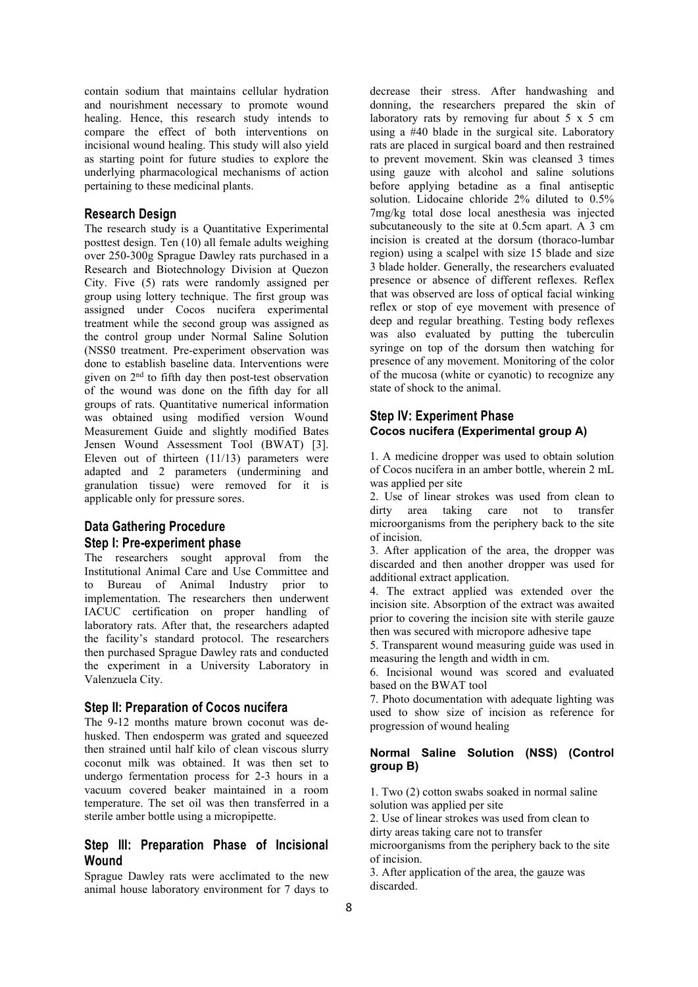contain sodium that maintains cellular hydration and nourishment necessary to promote wound healing. Hence, this research study intends to compare the effect of both interventions on incisional wound healing. This study will also yield as starting point for future studies to explore the underlying pharmacological mechanisms of action pertaining to these medicinal plants.

## **Research Design**

The research study is a Quantitative Experimental posttest design. Ten (10) all female adults weighing over 250-300g Sprague Dawley rats purchased in a Research and Biotechnology Division at Quezon City. Five (5) rats were randomly assigned per group using lottery technique. The first group was assigned under Cocos nucifera experimental treatment while the second group was assigned as the control group under Normal Saline Solution (NSS0 treatment. Pre-experiment observation was done to establish baseline data. Interventions were given on 2<sup>nd</sup> to fifth day then post-test observation of the mucosa of the wound was done on the fifth day for all groups of rats. Quantitative numerical information was obtained using modified version Wound Measurement Guide and slightly modified Bates Jensen Wound Assessment Tool (BWAT) [3]. Eleven out of thirteen (11/13) parameters were adapted and 2 parameters (undermining and granulation tissue) were removed for it is applicable only for pressure sores.

## **Data Gathering Procedure Step I: Pre-experiment phase**

The researchers sought approval from the Institutional Animal Care and Use Committee and to Bureau of Animal Industry prior to implementation. The researchers then underwent IACUC certification on proper handling of laboratory rats. After that, the researchers adapted the facility's standard protocol. The researchers then purchased Sprague Dawley rats and conducted the experiment in a University Laboratory in Valenzuela City.

#### **Step II: Preparation of Cocos nucifera**

The 9-12 months mature brown coconut was de husked. Then endosperm was grated and squeezed then strained until half kilo of clean viscous slurry coconut milk was obtained. It was then set to undergo fermentation process for 2-3 hours in a vacuum covered beaker maintained in a room temperature. The set oil was then transferred in a sterile amber bottle using a micropipette.

## **Step III: Preparation Phase of Incisional Wound**

Sprague Dawley rats were acclimated to the new animal house laboratory environment for 7 days to

decrease their stress. After handwashing and donning, the researchers prepared the skin of laboratory rats by removing fur about 5 x 5 cm using a #40 blade in the surgical site. Laboratory rats are placed in surgical board and then restrained to prevent movement. Skin was cleansed 3 times using gauze with alcohol and saline solutions before applying betadine as a final antiseptic solution. Lidocaine chloride 2% diluted to 0.5% 7mg/kg total dose local anesthesia was injected subcutaneously to the site at 0.5cm apart. A 3 cm incision is created at the dorsum (thoraco-lumbar region) using a scalpel with size 15 blade and size 3 blade holder. Generally, the researchers evaluated presence or absence of different reflexes. Reflex that was observed are loss of optical facial winking reflex or stop of eye movement with presence of deep and regular breathing. Testing body reflexes was also evaluated by putting the tuberculin syringe on top of the dorsum then watching for presence of any movement. Monitoring of the color of the mucosa (white or cyanotic) to recognize any state of shock to the animal.

## **Step IV: Experiment Phase Cocos nucifera (Experimental group A)**

1. A medicine dropper was used to obtain solution of Cocos nucifera in an amber bottle, wherein 2 mL was applied per site

2. Use of linear strokes was used from clean to dirty area taking care not to transfer microorganisms from the periphery back to the site of incision.

3. After application of the area, the dropper was discarded and then another dropper was used for additional extract application.

4. The extract applied was extended over the incision site. Absorption of the extract was awaited prior to covering the incision site with sterile gauze then was secured with micropore adhesive tape

5. Transparent wound measuring guide was used in measuring the length and width in cm.

6. Incisional wound was scored and evaluated based on the BWAT tool

7. Photo documentation with adequate lighting was used to show size of incision as reference for progression of wound healing

#### **Normal Saline Solution (NSS) (Control group B)**

1. Two (2) cotton swabs soaked in normal saline solution was applied per site

2. Use of linear strokes was used from clean to

dirty areas taking care not to transfer

microorganisms from the periphery back to the site of incision.

3. After application of the area, the gauze was discarded.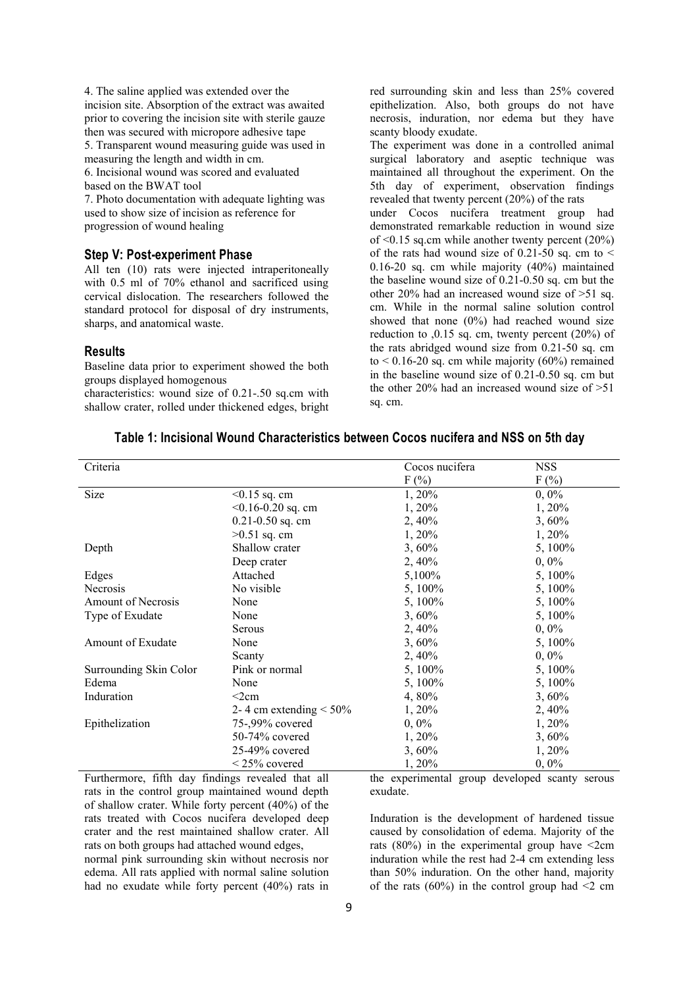4. The saline applied was extended over the incision site. Absorption of the extract was awaited prior to covering the incision site with sterile gauze then was secured with micropore adhesive tape

5. Transparent wound measuring guide was used in measuring the length and width in cm.

6. Incisional wound was scored and evaluated based on the BWAT tool

7. Photo documentation with adequate lighting was used to show size of incision as reference for progression of wound healing

## **Step V: Post-experiment Phase**

All ten (10) rats were injected intraperitoneally with 0.5 ml of 70% ethanol and sacrificed using cervical dislocation. The researchers followed the standard protocol for disposal of dry instruments, sharps, and anatomical waste.

#### **Results**

Baseline data prior to experiment showed the both groups displayed homogenous

characteristics: wound size of  $0.21$ -.50 sq.cm with shallow crater, rolled under thickened edges, bright red surrounding skin and less than 25% covered epithelization. Also, both groups do not have necrosis, induration, nor edema but they have scanty bloody exudate.

The experiment was done in a controlled animal surgical laboratory and aseptic technique was maintained all throughout the experiment. On the 5th day of experiment, observation findings revealed that twenty percent (20%) of the rats

under Cocos nucifera treatment group had demonstrated remarkable reduction in wound size of  $\leq 0.15$  sq.cm while another twenty percent (20%) of the rats had wound size of 0.21-50 sq. cm to  $\leq$ 0.16-20 sq. cm while majority (40%) maintained the baseline wound size of 0.21-0.50 sq. cm but the other 20% had an increased wound size of >51 sq. cm. While in the normal saline solution control showed that none  $(0\%)$  had reached wound size reduction to ,0.15 sq. cm, twenty percent (20%) of the rats abridged wound size from 0.21-50 sq. cm to  $\leq 0.16$ -20 sq. cm while majority (60%) remained in the baseline wound size of 0.21-0.50 sq. cm but the other 20% had an increased wound size of  $>51$ sq. cm.

| Criteria               |                              | Cocos nucifera | <b>NSS</b> |
|------------------------|------------------------------|----------------|------------|
|                        |                              | $F(\%)$        | $F(\%)$    |
| Size                   | $< 0.15$ sq. cm              | 1, 20%         | $0,0\%$    |
|                        | $< 0.16 - 0.20$ sq. cm       | 1, 20%         | 1, 20%     |
|                        | $0.21 - 0.50$ sq. cm         | 2, 40%         | 3,60%      |
|                        | $>0.51$ sq. cm               | 1, 20%         | 1, 20%     |
| Depth                  | Shallow crater               | 3,60%          | 5, 100%    |
|                        | Deep crater                  | 2,40%          | $0, 0\%$   |
| Edges                  | Attached                     | 5,100%         | 5, 100%    |
| Necrosis               | No visible                   | 5, 100%        | 5, 100%    |
| Amount of Necrosis     | None                         | 5, 100\%       | 5, 100%    |
| Type of Exudate        | None                         | 3,60%          | 5, 100%    |
|                        | Serous                       | 2,40%          | $0, 0\%$   |
| Amount of Exudate      | None                         | 3,60%          | 5, 100%    |
|                        | Scanty                       | 2,40%          | $0, 0\%$   |
| Surrounding Skin Color | Pink or normal               | 5, 100%        | 5, 100%    |
| Edema                  | None                         | 5, 100%        | 5, 100%    |
| Induration             | $<$ 2 $cm$                   | 4,80%          | 3,60%      |
|                        | 2-4 cm extending $\leq 50\%$ | 1,20%          | 2, 40%     |
| Epithelization         | 75-,99% covered              | $0, 0\%$       | 1, 20%     |
|                        | 50-74% covered               | 1,20%          | 3,60%      |
|                        | $25-49%$ covered             | 3,60%          | 1, 20%     |
|                        | $\leq$ 25% covered           | 1, 20%         | $0, 0\%$   |

## **Table 1: Incisional Wound Characteristics between Cocos nucifera and NSS on 5th day**

Furthermore, fifth day findings revealed that all rats in the control group maintained wound depth of shallow crater. While forty percent (40%) of the rats treated with Cocos nucifera developed deep crater and the rest maintained shallow crater. All rats on both groups had attached wound edges,

normal pink surrounding skin without necrosis nor edema. All rats applied with normal saline solution had no exudate while forty percent (40%) rats in the experimental group developed scanty serous exudate.

Induration is the development of hardened tissue caused by consolidation of edema. Majority of the rats  $(80\%)$  in the experimental group have  $\leq 2$ cm induration while the rest had 2-4 cm extending less than 50% induration. On the other hand, majority of the rats (60%) in the control group had  $\leq 2$  cm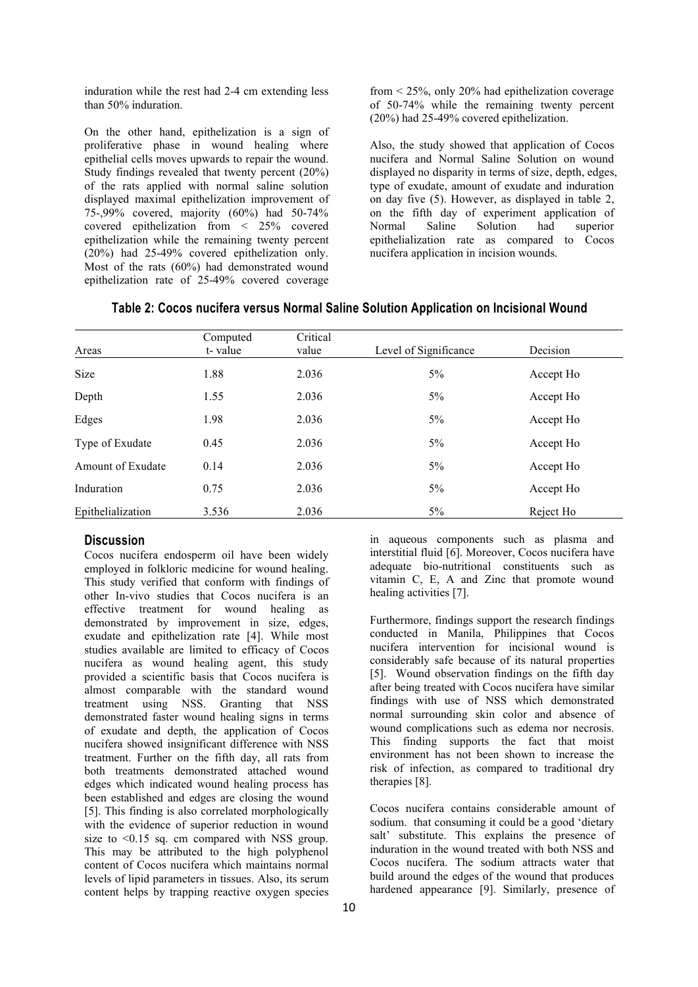induration while the rest had 2-4 cm extending less than 50% induration.

On the other hand, epithelization is a sign of proliferative phase in wound healing where epithelial cells moves upwards to repair the wound. Study findings revealed that twenty percent (20%) of the rats applied with normal saline solution displayed maximal epithelization improvement of 75-,99% covered, majority  $(60\%)$  had 50-74% on the fifth day covered epithelization from  $\lt 25\%$  covered Normal Saline covered epithelization from < 25% covered epithelization while the remaining twenty percent (20%) had 25-49% covered epithelization only. Most of the rats (60%) had demonstrated wound epithelization rate of 25-49% covered coverage

from < 25%, only 20% had epithelization coverage of 50-74% while the remaining twenty percent (20%) had 25-49% covered epithelization.

Also, the study showed that application of Cocos nucifera and Normal Saline Solution on wound displayed no disparity in terms of size, depth, edges, type of exudate, amount of exudate and induration on day five (5). However, as displayed in table 2, on the fifth day of experiment application of Solution had superior epithelialization rate as compared to Cocos nucifera application in incision wounds.

|  | Table 2: Cocos nucifera versus Normal Saline Solution Application on Incisional Wound |  |
|--|---------------------------------------------------------------------------------------|--|
|  |                                                                                       |  |

|                   | Computed | Critical |                       |           |
|-------------------|----------|----------|-----------------------|-----------|
| Areas             | t-value  | value    | Level of Significance | Decision  |
| Size              | 1.88     | 2.036    | 5%                    | Accept Ho |
| Depth             | 1.55     | 2.036    | 5%                    | Accept Ho |
| Edges             | 1.98     | 2.036    | 5%                    | Accept Ho |
| Type of Exudate   | 0.45     | 2.036    | 5%                    | Accept Ho |
| Amount of Exudate | 0.14     | 2.036    | 5%                    | Accept Ho |
| Induration        | 0.75     | 2.036    | 5%                    | Accept Ho |
| Epithelialization | 3.536    | 2.036    | 5%                    | Reject Ho |

#### **Discussion**

Cocos nucifera endosperm oil have been widely employed in folkloric medicine for wound healing. This study verified that conform with findings of other In-vivo studies that Cocos nucifera is an effective treatment for wound healing as demonstrated by improvement in size, edges, exudate and epithelization rate [4]. While most studies available are limited to efficacy of Cocos nucifera as wound healing agent, this study provided a scientific basis that Cocos nucifera is almost comparable with the standard wound treatment using NSS. Granting that NSS demonstrated faster wound healing signs in terms of exudate and depth, the application of Cocos nucifera showed insignificant difference with NSS treatment. Further on the fifth day, all rats from both treatments demonstrated attached wound edges which indicated wound healing process has been established and edges are closing the wound [5]. This finding is also correlated morphologically with the evidence of superior reduction in wound size to  $\leq 0.15$  sq. cm compared with NSS group. This may be attributed to the high polyphenol content of Cocos nucifera which maintains normal levels of lipid parameters in tissues. Also, its serum content helps by trapping reactive oxygen species

in aqueous components such as plasma and interstitial fluid [6]. Moreover, Cocos nucifera have adequate bio-nutritional constituents such as vitamin C, E, A and Zinc that promote wound healing activities [7].

Furthermore, findings support the research findings conducted in Manila, Philippines that Cocos nucifera intervention for incisional wound is considerably safe because of its natural properties [5]. Wound observation findings on the fifth day after being treated with Cocos nucifera have similar findings with use of NSS which demonstrated normal surrounding skin color and absence of wound complications such as edema nor necrosis. This finding supports the fact that moist environment has not been shown to increase the risk of infection, as compared to traditional dry therapies [8].

Cocos nucifera contains considerable amount of sodium. that consuming it could be a good 'dietary salt' substitute. This explains the presence of induration in the wound treated with both NSS and Cocos nucifera. The sodium attracts water that build around the edges of the wound that produces hardened appearance [9]. Similarly, presence of